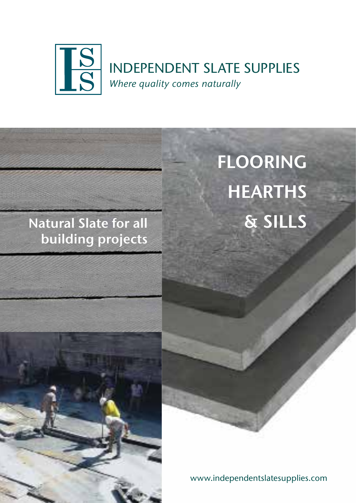

### Natural Slate for all building projects

# FLOORING HEARTHS & SILLS



www.independentslatesupplies.com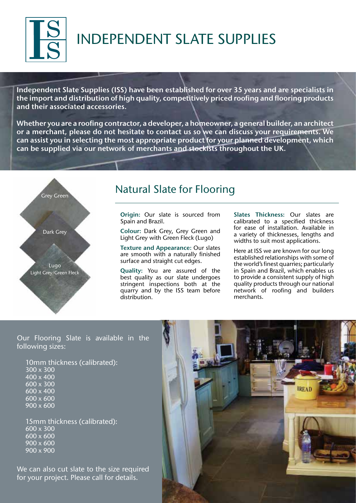

## INDEPENDENT SLATE SUPPLIES

Independent Slate Supplies (ISS) have been established for over 35 years and are specialists in the import and distribution of high quality, competitively priced roofing and flooring products and their associated accessories.

Whether you are a roofing contractor, a developer, a homeowner, a general builder, an architect or a merchant, please do not hesitate to contact us so we can discuss your requirements. We can assist you in selecting the most appropriate product for your planned development, which can be supplied via our network of merchants and stockists throughout the UK.



### Natural Slate for Flooring

Origin: Our slate is sourced from Spain and Brazil.

Colour: Dark Grey, Grey Green and Light Grey with Green Fleck (Lugo)

Texture and Appearance: Our slates are smooth with a naturally finished surface and straight cut edges.

Quality: You are assured of the best quality as our slate undergoes stringent inspections both at the quarry and by the ISS team before distribution.

Slates Thickness: Our slates are calibrated to a specified thickness for ease of installation. Available in a variety of thicknesses, lengths and widths to suit most applications.

Here at ISS we are known for our long established relationships with some of the world's finest quarries; particularly in Spain and Brazil, which enables us to provide a consistent supply of high quality products through our national network of roofing and builders merchants.

Our Flooring Slate is available in the following sizes:

10mm thickness (calibrated): 300 x 300 400 x 400 600 x 300 600 x 400 600 x 600 900 x 600

15mm thickness (calibrated): 600 x 300 600 x 600 900 x 600 900 x 900

We can also cut slate to the size required for your project. Please call for details.

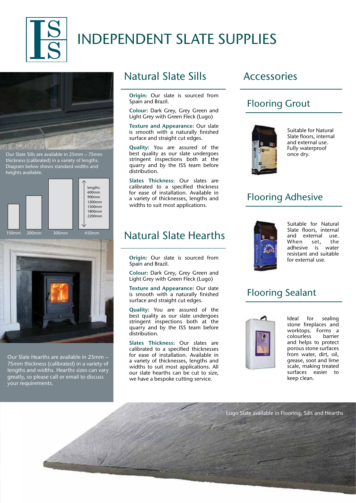

### INDEPENDENT SLATE SUPPLIES



Our Slate Sills are available in 25mm – 75mm thickness (calibrated) in a variety of lengths. Diagram below shows standard widths and heights available.



Our Slate Hearths are available in 25mm –

75mm thickness (calibrated) in a variety of lengths and widths. Hearths sizes can vary greatly, so please call or email to discuss your requirements.

#### Natural Slate Sills

Origin: Our slate is sourced from Spain and Brazil.

Colour: Dark Grey, Grey Green and Light Grey with Green Fleck (Lugo)

Texture and Appearance: Our slate is smooth with a naturally finished surface and straight cut edges.

Quality: You are assured of the best quality as our slate undergoes stringent inspections both at the quarry and by the ISS team before distribution.

Slates Thickness: Our slates are calibrated to a specified thickness for ease of installation. Available in a variety of thicknesses, lengths and widths to suit most applications.

#### Natural Slate Hearths

Origin: Our slate is sourced from Spain and Brazil.

Colour: Dark Grey, Grey Green and Light Grey with Green Fleck (Lugo)

Texture and Appearance: Our slate is smooth with a naturally finished surface and straight cut edges.

Quality: You are assured of the best quality as our slate undergoes stringent inspections both at the quarry and by the ISS team before distribution.

Slates Thickness: Our slates are calibrated to a specified thicknesses for ease of installation. Available in a variety of thicknesses, lengths and widths to suit most applications. All our slate hearths can be cut to size, we have a bespoke cutting service.

#### Accessories

#### Flooring Grout



Suitable for Natural Slate floors, internal and external use. Fully waterproof once dry.

#### Flooring Adhesive



Suitable for Natural Slate floors, internal and external use. When set, the adhesive is water resistant and suitable for external use.

#### Flooring Sealant



Ideal for sealing stone fireplaces and worktops. Forms a colourless barrier and helps to protect porous stone surfaces from water, dirt, oil, grease, soot and lime scale, making treated surfaces easier to keep clean.

Lugo Slate available in Flooring, Sills and Hearths